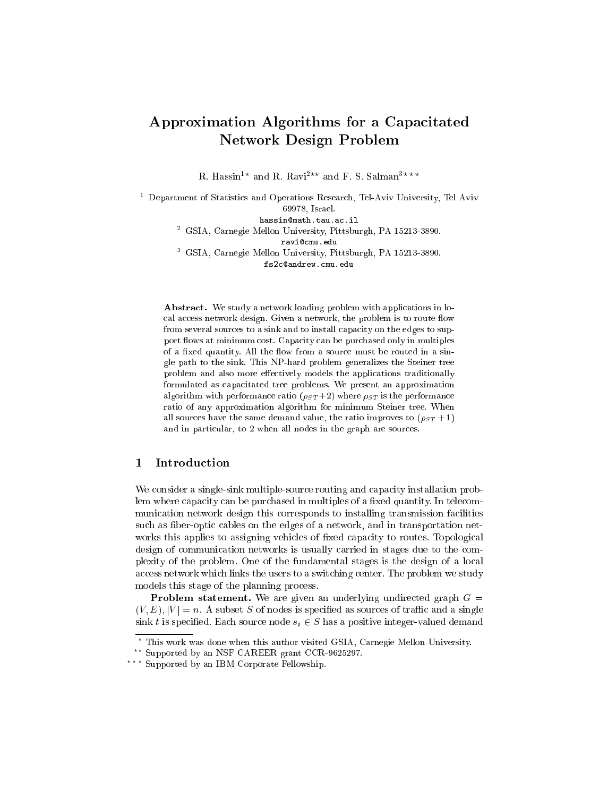# Approximation Algorithms for a Capacitated Network Design Problem

R. Hassin<sup>o</sup> and R. Ravi<sup>200</sup> and F. S. Salman<sup>3</sup>? ?

the Department of Statistics and Operations Research, Tel-Aviv University, Tel-Aviv 69978, Israel.

hassin@math.tau.ac.il

<sup>2</sup> GSIA, Carnegie Mellon University, Pittsburgh, PA 15213-3890. ravi@cmu.edu

<sup>3</sup> GSIA, Carnegie Mellon University, Pittsburgh, PA 15213-3890. fs2c@andrew.cmu.edu

Abstract. We study a network loading problem with applications in local access network design. Given a network, the problem is to route flow from several sources to a sink and to install capacity on the edges to support flows at minimum cost. Capacity can be purchased only in multiples of a fixed quantity. All the flow from a source must be routed in a single path to the sink. This NP-hard problem generalizes the Steiner tree problem and also more effectively models the applications traditionally formulated as capacitated tree problems. We present an approximation algorithm with performance ratio  $(\rho_{ST} + 2)$  where  $\rho_{ST}$  is the performance ratio of any approximation algorithm for minimum Steiner tree. When all sources have the same demand value, the ratio improves to  $(\rho_{ST} + 1)$ and in particular, to 2 when all nodes in the graph are sources.

## <sup>1</sup> Introduction

We consider a single-sink multiple-source routing and capacity installation problem where capacity can be purchased in multiples of a fixed quantity. In telecommunication network design this corresponds to installing transmission facilities such as fiber-optic cables on the edges of a network, and in transportation networks this applies to assigning vehicles of fixed capacity to routes. Topological design of communication networks is usually carried in stages due to the complexity of the problem. One of the fundamental stages is the design of a local access network which links the users to a switching center. The problem we study models this stage of the planning process.

**Problem statement.** We are given an underlying undirected graph  $G =$  $(V, E), |V| = n$ . A subset S of nodes is specified as sources of traffic and a single sink t is specified. Each source node  $s_i \in S$  has a positive integer-valued demand

 $^{\circ}$  This work was done when this author visited GSIA, Carnegie Mellon University.

<sup>??</sup> Supported by an NSF CAREER grant CCR-9625297.

<sup>? ? ?</sup> Supported by an IBM Corporate Fellowship.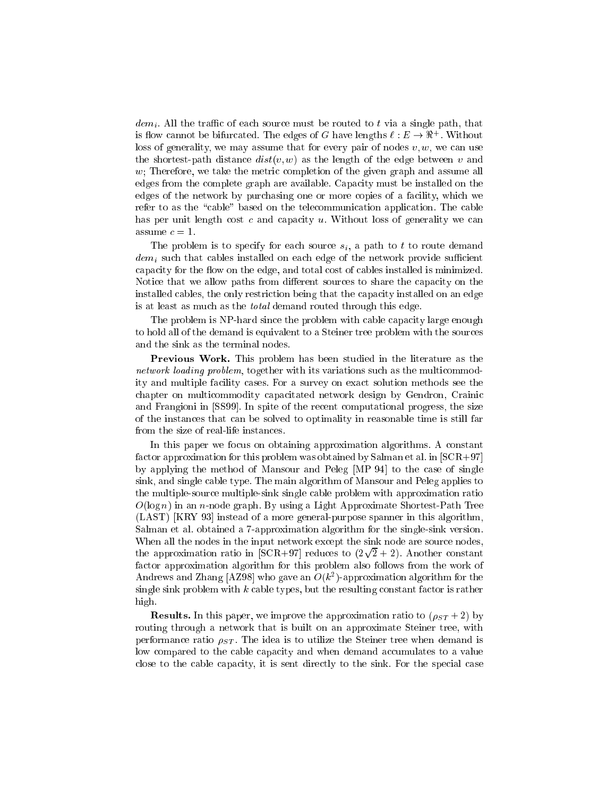$dem_i$ . All the traffic of each source must be routed to t via a single path, that is now cannot be bifurcated. The edges of G have lengths  $\ell : E \to \pi$  , without loss of generality, we may assume that for every pair of nodes  $v, w$ , we can use the shortest-path distance  $dist(v, w)$  as the length of the edge between v and  $w$ ; Therefore, we take the metric completion of the given graph and assume all edges from the complete graph are available. Capacity must be installed on the edges of the network by purchasing one or more copies of a facility, which we refer to as the "cable" based on the telecommunication application. The cable has per unit length cost c and capacity u. Without loss of generality we can assume  $c = 1$ .

The problem is to specify for each source  $s_i$ , a path to t to route demand  $dem_i$  such that cables installed on each edge of the network provide sufficient capacity for the flow on the edge, and total cost of cables installed is minimized. Notice that we allow paths from different sources to share the capacity on the installed cables, the only restriction being that the capacity installed on an edge is at least as much as the total demand routed through this edge.

The problem is NP-hard since the problem with cable capacity large enough to hold all of the demand is equivalent to a Steiner tree problem with the sources and the sink as the terminal nodes.

Previous Work. This problem has been studied in the literature as the network loading problem, together with its variations such as the multicommodity and multiple facility cases. For a survey on exact solution methods see the chapter on multicommodity capacitated network design by Gendron, Crainic and Frangioni in [SS99]. In spite of the recent computational progress, the size of the instances that can be solved to optimality in reasonable time is still far from the size of real-life instances.

In this paper we focus on obtaining approximation algorithms. A constant factor approximation for this problem was obtained by Salman et al. in [SCR+97] by applying the method of Mansour and Peleg [MP 94] to the case of single sink, and single cable type. The main algorithm of Mansour and Peleg applies to the multiple-source multiple-sink single cable problem with approximation ratio  $O(\log n)$  in an *n*-node graph. By using a Light Approximate Shortest-Path Tree (LAST) [KRY 93] instead of a more general-purpose spanner in this algorithm, Salman et al. obtained a 7-approximation algorithm for the single-sink version. When all the nodes in the input network except the sink node are source nodes, the approximation ratio in [SCR+97] reduces to  $(2\sqrt{2}+2)$ . Another constant factor approximation algorithm for this problem also follows from the work of Andrews and Zhang  $[AZ98]$  who gave an  $O(k^2)$ -approximation algorithm for the single sink problem with  $k$  cable types, but the resulting constant factor is rather high.

**Results.** In this paper, we improve the approximation ratio to  $(\rho_{ST} + 2)$  by routing through a network that is built on an approximate Steiner tree, with performance ratio  $\rho_{ST}$ . The idea is to utilize the Steiner tree when demand is low compared to the cable capacity and when demand accumulates to a value close to the cable capacity, it is sent directly to the sink. For the special case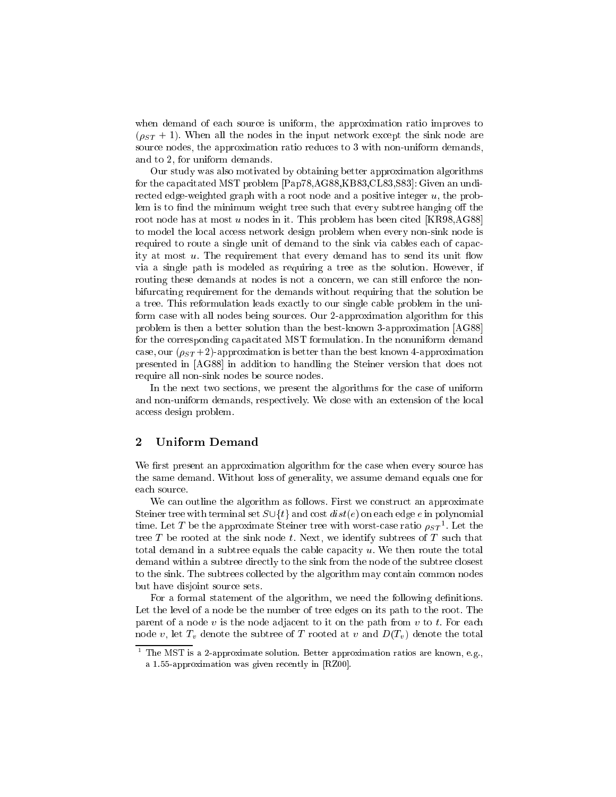when demand of each source is uniform, the approximation ratio improves to  $(\rho_{ST} + 1)$ . When all the nodes in the input network except the sink node are source nodes, the approximation ratio reduces to 3 with non-uniform demands, and to 2, for uniform demands.

Our study was also motivated by obtaining better approximation algorithms for the capacitated MST problem [Pap78,AG88,KB83,CL83,S83]: Given an undirected edge-weighted graph with a root node and a positive integer  $u$ , the problem is to find the minimum weight tree such that every subtree hanging off the root node has at most u nodes in it. This problem has been cited [KR98,AG88] to model the local access network design problem when every non-sink node is required to route a single unit of demand to the sink via cables each of capacity at most  $u$ . The requirement that every demand has to send its unit flow via a single path is modeled as requiring a tree as the solution. However, if routing these demands at nodes is not a concern, we can still enforce the nonbifurcating requirement for the demands without requiring that the solution be a tree. This reformulation leads exactly to our single cable problem in the uniform case with all nodes being sources. Our 2-approximation algorithm for this problem is then a better solution than the best-known 3-approximation [AG88] for the corresponding capacitated MST formulation. In the nonuniform demand case, our  $(\rho_{ST} + 2)$ -approximation is better than the best known 4-approximation presented in [AG88] in addition to handling the Steiner version that does not require all non-sink nodes be source nodes.

In the next two sections, we present the algorithms for the case of uniform and non-uniform demands, respectively. We close with an extension of the local access design problem.

### <sup>2</sup> Uniform Demand

We first present an approximation algorithm for the case when every source has the same demand. Without loss of generality, we assume demand equals one for each source.

We can outline the algorithm as follows. First we construct an approximate Steiner tree with terminal set  $S \cup \{t\}$  and cost  $dist(e)$  on each edge e in polynomial time. Let T be the approximate Steiner tree with worst-case ratio  $\rho_{ST}$ . Let the tree  $T$  be rooted at the sink node  $t$ . Next, we identify subtrees of  $T$  such that total demand in a subtree equals the cable capacity  $u$ . We then route the total demand within a subtree directly to the sink from the node of the subtree closest to the sink. The subtrees collected by the algorithm may contain common nodes but have disjoint source sets.

For a formal statement of the algorithm, we need the following definitions. Let the level of a node be the number of tree edges on its path to the root. The parent of a node  $v$  is the node adjacent to it on the path from  $v$  to  $t$ . For each node v, let  $T_v$  denote the subtree of T rooted at v and  $D(T_v)$  denote the total

<sup>1</sup> The MST is a 2-approximate solution. Better approximation ratios are known, e.g., a 1.55-approximation was given recently in [RZ00].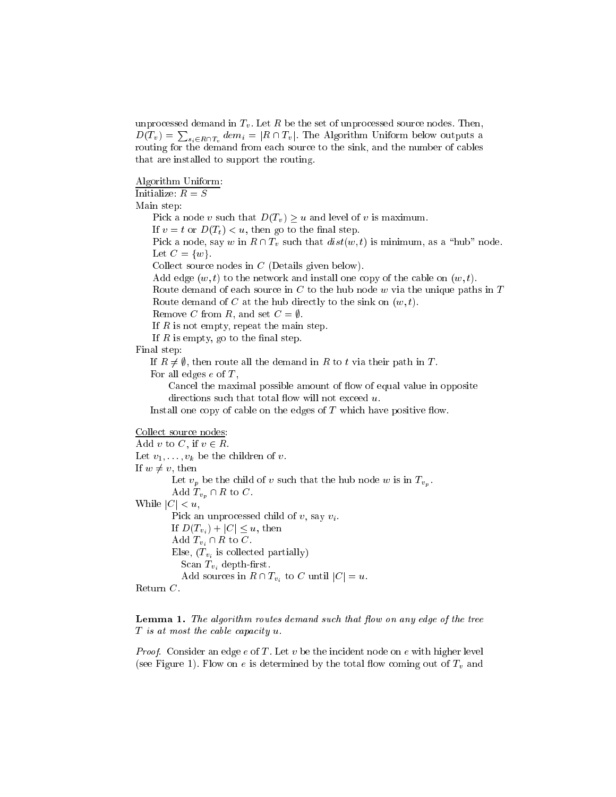unprocessed demand in  $T_v$ . Let R be the set of unprocessed source nodes. Then,  $D(T_v) = \sum_{s_i \in R \cap T_v} dem_i = |R \cap T_v|.$  The Algorithm Uniform below outputs a routing for the demand from each source to the sink, and the number of cables that are installed to support the routing.

Algorithm Uniform:

Initialize:  $R = S$ Main step: Pick a node v such that  $D(T_v) \geq u$  and level of v is maximum. If  $v = t$  or  $D(T_t) < u$ , then go to the final step. Pick a node, say w in  $R \cap T_v$  such that  $dist(w, t)$  is minimum, as a "hub" node. Let  $C = \{w\}.$ Collect source nodes in <sup>C</sup> (Details given below). Add edge  $(w, t)$  to the network and install one copy of the cable on  $(w, t)$ . Route demand of each source in  $C$  to the hub node  $w$  via the unique paths in  $T$ Route demand of C at the hub directly to the sink on  $(w, t)$ . Remove C from R, and set  $C = \emptyset$ . If  $R$  is not empty, repeat the main step. If  $R$  is empty, go to the final step. Final step: If  $R \neq \emptyset$ , then route all the demand in R to t via their path in T. For all edges  $e$  of  $T$ , Cancel the maximal possible amount of flow of equal value in opposite directions such that total flow will not exceed  $u$ . Install one copy of cable on the edges of  $T$  which have positive flow. Collect source nodes: Add v to C, if  $v \in R$ . Let  $v_1, \ldots, v_k$  be the children of v. If  $w \neq v$ , then Let  $v_p$  be the child of v such that the hub node w is in  $T_{v_p}$ . Add  $T_{v_p} \cap R$  to C. While  $|C| < u$ , Pick an unprocessed child of  $v$ , say  $v_i$ . If  $D(T_{v_i}) + |C| \leq u$ , then Add  $T_{v_i} \cap R$  to C.  $\equiv$   $\cdots$   $\rightarrow$   $\gamma$  is collected particle particle particle particle particle particle particle particle particle particle particle particle particle particle particle particle particle particle particle particle particl Scan  $T_{v_i}$  depth-first. Add sources in  $R \cap T_{v_i}$  to C until  $|C| = u$ . Return C.

**Lemma 1.** The algorithm routes demand such that flow on any edge of the tree <sup>T</sup> is at most the cable capacity u.

Proof. Consider an edge <sup>e</sup> of <sup>T</sup> . Let <sup>v</sup> be the incident node on <sup>e</sup> with higher level (see Figure 1). Flow on e is determined by the total flow coming out of  $T_v$  and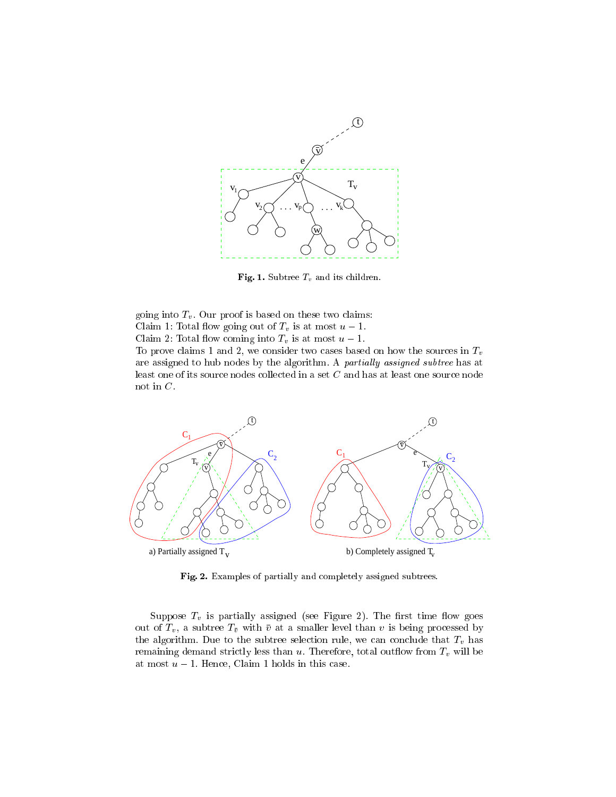

Fig. 1. Subtree  $T_v$  and its children.

going into  $T_v$ . Our proof is based on these two claims: Claim 1: Total flow going out of  $T_v$  is at most  $u-1$ . Claim 2: Total flow coming into  $T_v$  is at most  $u-1$ . To prove claims 1 and 2, we consider two cases based on how the sources in  $T_v$ 

are assigned to hub nodes by the algorithm. A partially assigned subtree has at least one of its source nodes collected in a set <sup>C</sup> and has at least one source node not in  $C$ .



Fig. 2. Examples of partially and completely assigned subtrees.

Suppose  $T_v$  is partially assigned (see Figure 2). The first time flow goes out of  $T_v$ , a subtree  $T_{\bar{v}}$  with  $\bar{v}$  at a smaller level than v is being processed by the algorithm. Due to the subtree selection rule, we can conclude that  $T_v$  has remaining demand strictly less than  $u$ . Therefore, total outflow from  $T_v$  will be at most  $u - 1$ . Hence, Claim 1 holds in this case.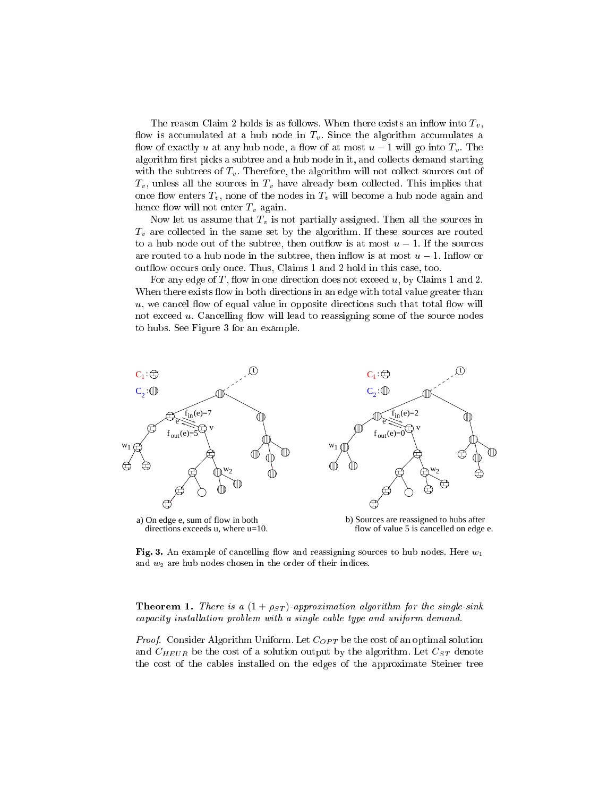The reason Claim 2 holds is as follows. When there exists an inflow into  $T_v$ , flow is accumulated at a hub node in  $T_v$ . Since the algorithm accumulates a flow of exactly u at any hub node, a flow of at most  $u-1$  will go into  $T_v$ . The algorithm first picks a subtree and a hub node in it, and collects demand starting with the subtrees of  $T_v$ . Therefore, the algorithm will not collect sources out of  $T_v$ , unless all the sources in  $T_v$  have already been collected. This implies that once flow enters  $T_v$ , none of the nodes in  $T_v$  will become a hub node again and hence flow will not enter  $T_v$  again.

Now let us assume that  $T_v$  is not partially assigned. Then all the sources in  $T_v$  are collected in the same set by the algorithm. If these sources are routed to a hub node out of the subtree, then outflow is at most  $u-1$ . If the sources are routed to a hub node in the subtree, then inflow is at most  $u-1$ . Inflow or outflow occurs only once. Thus, Claims 1 and 2 hold in this case, too.

For any edge of  $T$ , flow in one direction does not exceed  $u$ , by Claims 1 and 2. When there exists flow in both directions in an edge with total value greater than  $u$ , we cancel flow of equal value in opposite directions such that total flow will not exceed  $u$ . Cancelling flow will lead to reassigning some of the source nodes to hubs. See Figure 3 for an example.



Fig. 3. An example of cancelling flow and reassigning sources to hub nodes. Here  $w_1$ 

**Theorem 1.** There is a  $(1 + \rho_{ST})$ -approximation algorithm for the single-sink capacity instal lation problem with <sup>a</sup> single cable type and uniform demand.

and w2 are hub nodes chosen in the order of their indices.

Proof. Consider Algorithm Uniform. Let COP T be the cost of an optimal solution and  $C_{HEUR}$  be the cost of a solution output by the algorithm. Let  $C_{ST}$  denote the cost of the cables installed on the edges of the approximate Steiner tree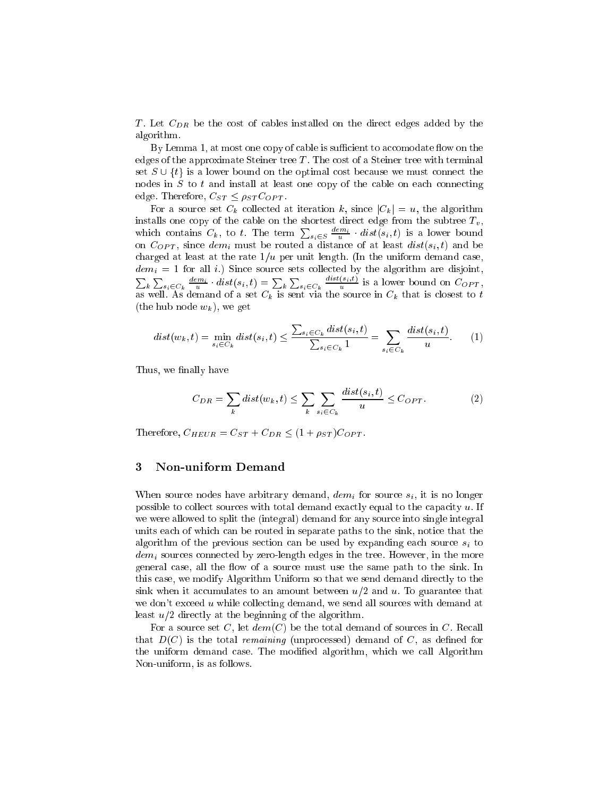T. Let  $C_{DR}$  be the cost of cables installed on the direct edges added by the algorithm.

By Lemma 1, at most one copy of cable is sufficient to accomodate flow on the edges of the approximate Steiner tree  $T$ . The cost of a Steiner tree with terminal set  $S \cup \{t\}$  is a lower bound on the optimal cost because we must connect the nodes in  $S$  to  $t$  and install at least one copy of the cable on each connecting edge. Therefore,  $C_{ST} \leq \rho_{ST} C_{OPT}$ .

For a source set  $C_k$  collected at iteration k, since  $|C_k| = u$ , the algorithm installs one copy of the cable on the shortest direct edge from the subtree  $T_v$ , which contains  $C_k$ , to t. The term  $\sum_{s_i \in S} \frac{dem_i}{u} \cdot dist(s_i, t)$  is a lower bound on COP T , since demity and at least distance of an atomic of at least distribution  $\{s_i\}$  , then be charged at least at the rate  $1/u$  per unit length. (In the uniform demand case,  $\frac{d}{dx}$  for all i.) Since source source source source source source  $\frac{d}{dx}$ **Programma**  $s_i \in C_k \frac{dem_i}{u} \cdot dist(s_i,t) = \sum_k$ **Programma**  $s_i \in C_k \frac{m}{u}$  is a lower bound on  $C_{OPT}$ , as well. As demand of a set Ck is sent via the source in  $\mathbb{R}^n$  that is close to that is close to that is closest to that is close to the source in Ck that is close to the source in Ck that is close to the source in C (the hub node  $w_k$ ), we get

$$
dist(w_k, t) = \min_{s_i \in C_k} dist(s_i, t) \le \frac{\sum_{s_i \in C_k} dist(s_i, t)}{\sum_{s_i \in C_k} 1} = \sum_{s_i \in C_k} \frac{dist(s_i, t)}{u}.
$$
 (1)

Thus, we finally have

$$
C_{DR} = \sum_{k} dist(w_k, t) \le \sum_{k} \sum_{s_i \in C_k} \frac{dist(s_i, t)}{u} \le C_{OPT}.
$$
 (2)

Therefore,  $C_{HEUR} = C_{ST} + C_{DR} \leq (1 + \rho_{ST})C_{OPT}$ .

#### <sup>3</sup> Non-uniform Demand

When source nodes have arbitrary demand,  $dem_i$  for source  $s_i$ , it is no longer possible to collect sources with total demand exactly equal to the capacity u. If we were allowed to split the (integral) demand for any source into single integral units each of which can be routed in separate paths to the sink, notice that the algorithm of the previous section can be used by expanding each source  $s_i$  to  $dem_i$  sources connected by zero-length edges in the tree. However, in the more general case, all the flow of a source must use the same path to the sink. In this case, we modify Algorithm Uniform so that we send demand directly to the sink when it accumulates to an amount between  $u/2$  and u. To guarantee that we don't exceed u while collecting demand, we send all sources with demand at least  $u/2$  directly at the beginning of the algorithm.

For a source set C, let  $dem(C)$  be the total demand of sources in C. Recall that  $D(C)$  is the total remaining (unprocessed) demand of C, as defined for the uniform demand case. The modied algorithm, which we call Algorithm Non-uniform, is as follows.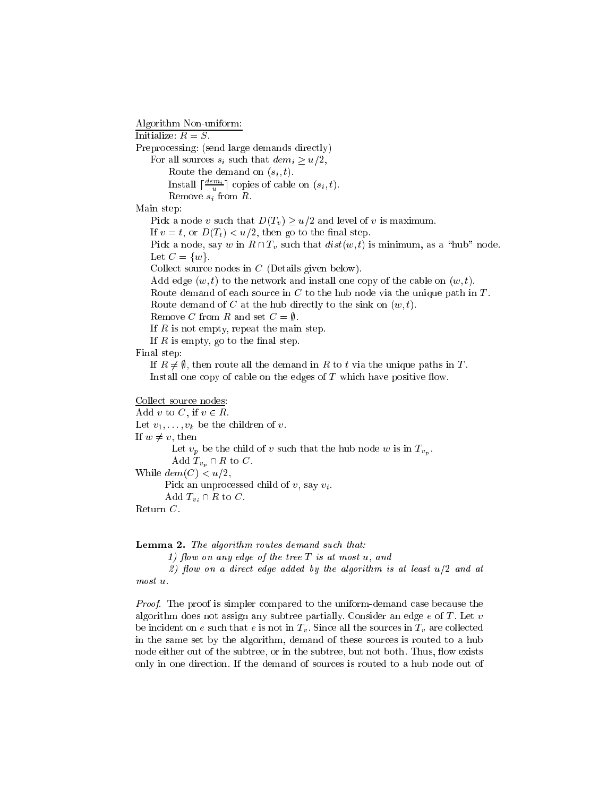Algorithm Non-uniform:

Initialize:  $R = S$ . Preprocessing: (send large demands directly) For all sources  $s_i$  such that  $dem_i \geq u/2$ , Route the demand on  $(s_i, t)$ . Install  $\left| \frac{d}{dx} \right|$  copies of cable on  $(s_i, t)$ . Remove si from R. Main step: Pick a node v such that  $D(T_v) \geq u/2$  and level of v is maximum. If  $v = t$ , or  $D(T_t) < u/2$ , then go to the final step. Pick a node, say w in  $R \cap T_v$  such that  $dist(w, t)$  is minimum, as a "hub" node. Let  $C = \{w\}$ . Collect source nodes in <sup>C</sup> (Details given below). Add edge  $(w, t)$  to the network and install one copy of the cable on  $(w, t)$ . Route demand of each source in  $C$  to the hub node via the unique path in  $T$ . Route demand of C at the hub directly to the sink on  $(w, t)$ . Remove C from R and set  $C = \emptyset$ . If  $R$  is not empty, repeat the main step. If  $R$  is empty, go to the final step. Final step: If  $R \neq \emptyset$ , then route all the demand in R to t via the unique paths in T. Install one copy of cable on the edges of  $T$  which have positive flow. Collect source nodes: Collect source nodes: Add v to C, if  $v \in R$ . Let  $v_1, \ldots, v_k$  be the children of v. If  $w \neq v$ , then Let  $v_p$  be the child of v such that the hub node w is in  $T_{v_p}$ . Add  $T_{v_p} \cap R$  to C. While  $dem(C) < u/2$ , Pick an unprocessed child of  $v$ , say  $v_i$ . Add  $T_{v_i} \cap R$  to C. Return C.

Lemma 2. The algorithm routes demand such that:

1) ow on any edge of the tree <sup>T</sup> is at most u, and

2) ow on <sup>a</sup> direct edge added by the algorithm is at least u=2 and at

Proof. The proof is simpler compared to the uniform-demand case because the algorithm does not assign any subtree partially. Consider an edge  $e$  of  $T$ . Let  $v$ be incident on e such that e is not in  $T_v$ . Since all the sources in  $T_v$  are collected in the same set by the algorithm, demand of these sources is routed to a hub node either out of the subtree, or in the subtree, but not both. Thus, flow exists only in one direction. If the demand of sources is routed to a hub node out of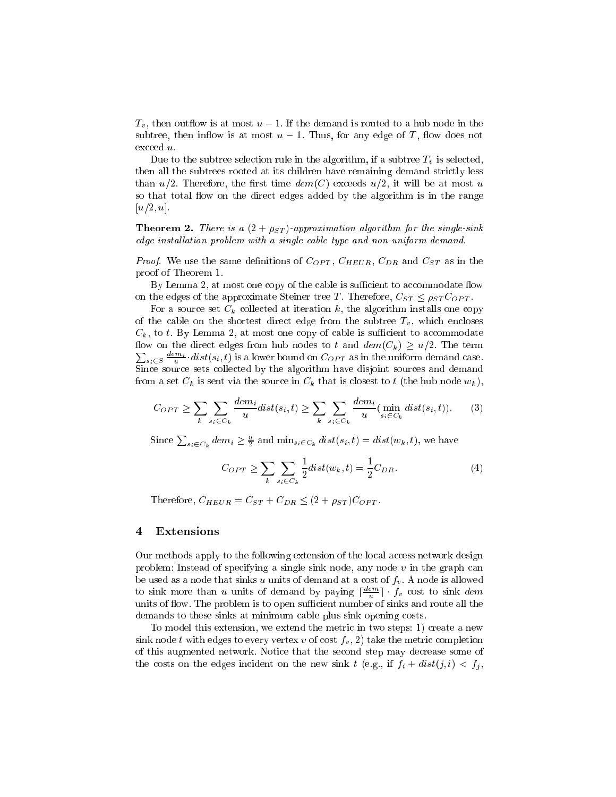$T_v$ , then outflow is at most  $u-1$ . If the demand is routed to a hub node in the subtree, then inflow is at most  $u-1$ . Thus, for any edge of T, flow does not exceed u.

Due to the subtree selection rule in the algorithm, if a subtree  $T_v$  is selected, then all the subtrees rooted at its children have remaining demand strictly less than  $u/2$ . Therefore, the first time  $dem(C)$  exceeds  $u/2$ , it will be at most u so that total flow on the direct edges added by the algorithm is in the range  $[u/2, u]$ .

**Theorem 2.** There is a  $(2 + \rho_{ST})$ -approximation algorithm for the single-sink edge instal lation problem with <sup>a</sup> single cable type and non-uniform demand.

Proof. We use the same denitions of COP T , CHEUR, CDR and CST as in the proof of Theorem 1.

By Lemma 2, at most one copy of the cable is sufficient to accommodate flow on the edges of the approximate Steiner tree T. Therefore,  $C_{ST} \leq \rho_{ST} C_{OPT}$ .

For a source set  $C_k$  collected at iteration k, the algorithm installs one copy of the cable on the shortest direct edge from the subtree  $T_v$ , which encloses  $C_k$ , to t. By Lemma 2, at most one copy of cable is sufficient to accommodate our the direct edges from hub nodes to t and dem(Ck)  $\equiv$   $\alpha$  )  $\equiv$   $\alpha$  . The term <sup>P</sup>  $s_i \in S$   $\frac{m_i}{u} \cdot dist(s_i, t)$  is a lower bound on  $C_{OPT}$  as in the uniform demand case. Since source sets collected by the algorithm have disjoint sources and demand from a set  $C_k$  is sent via the source in  $C_k$  that is closest to t (the hub node  $w_k$ ),

$$
C_{OPT} \ge \sum_{k} \sum_{s_i \in C_k} \frac{dem_i}{u} dist(s_i, t) \ge \sum_{k} \sum_{s_i \in C_k} \frac{dem_i}{u} (\min_{s_i \in C_k} dist(s_i, t)).
$$
 (3)

Since  $\sum_{s_i \in C_k} dem_i \geq \frac{u}{2}$  and  $\min_{s_i \in C_k} dist(s_i, t) = dist(w_k, t)$ , we have

$$
C_{OPT} \ge \sum_{k} \sum_{s_i \in C_k} \frac{1}{2} dist(w_k, t) = \frac{1}{2} C_{DR}.
$$
 (4)

Therefore,  $C_{HEUR} = C_{ST} + C_{DR} \leq (2 + \rho_{ST})C_{OPT}$ .

#### <sup>4</sup> Extensions

Our methods apply to the following extension of the local access network design problem: Instead of specifying a single sink node, any node  $v$  in the graph can be used as a node that sinks u units of demand at a cost of  $f_v$ . A node is allowed to sink more than  $u$  units of demand by paying  $\lceil \frac{-u}{u} \rceil + J_v$  cost to sink  $dem$ units of flow. The problem is to open sufficient number of sinks and route all the demands to these sinks at minimum cable plus sink opening costs.

To model this extension, we extend the metric in two steps: 1) create a new sink node t with edges to every vertex v of cost  $f_v$ , 2) take the metric completion of this augmented network. Notice that the second step may decrease some of the costs on the edges incident on the new sink t (e.g., if  $f_i + dist(j, i) < f_j$ ,